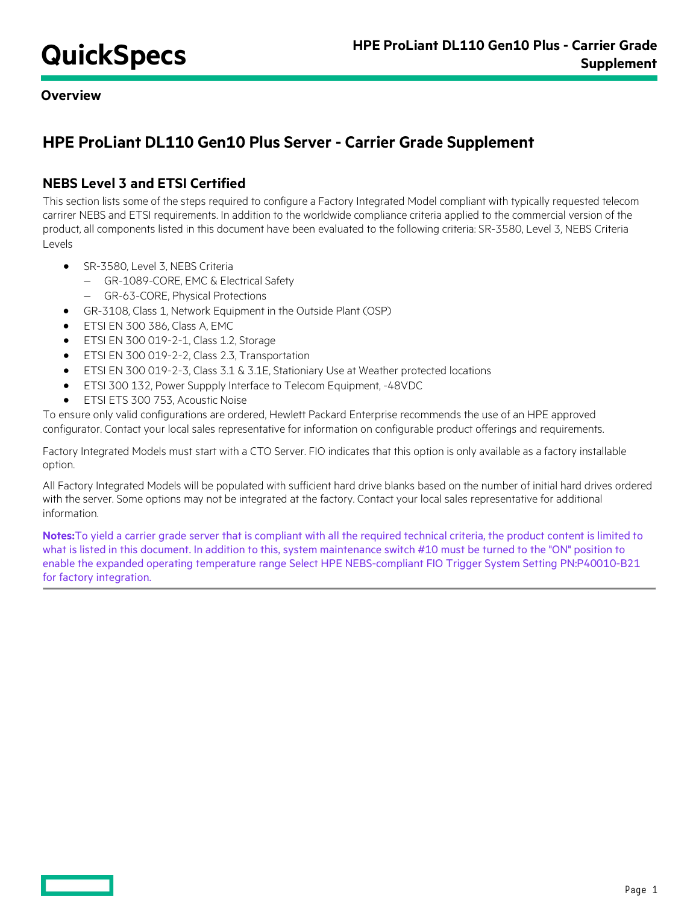**Overview**

# **HPE ProLiant DL110 Gen10 Plus Server - Carrier Grade Supplement**

# **NEBS Level 3 and ETSI Certified**

This section lists some of the steps required to configure a Factory Integrated Model compliant with typically requested telecom carrirer NEBS and ETSI requirements. In addition to the worldwide compliance criteria applied to the commercial version of the product, all components listed in this document have been evaluated to the following criteria: SR-3580, Level 3, NEBS Criteria Levels

- SR-3580, Level 3, NEBS Criteria
	- − GR-1089-CORE, EMC & Electrical Safety
	- − GR-63-CORE, Physical Protections
- GR-3108, Class 1, Network Equipment in the Outside Plant (OSP)
- ETSI EN 300 386, Class A, EMC
- ETSI EN 300 019-2-1, Class 1.2, Storage
- ETSI EN 300 019-2-2, Class 2.3, Transportation
- ETSI EN 300 019-2-3, Class 3.1 & 3.1E, Stationiary Use at Weather protected locations
- ETSI 300 132, Power Suppply Interface to Telecom Equipment, -48VDC
- ETSI ETS 300 753, Acoustic Noise

To ensure only valid configurations are ordered, Hewlett Packard Enterprise recommends the use of an HPE approved configurator. Contact your local sales representative for information on configurable product offerings and requirements.

Factory Integrated Models must start with a CTO Server. FIO indicates that this option is only available as a factory installable option.

All Factory Integrated Models will be populated with sufficient hard drive blanks based on the number of initial hard drives ordered with the server. Some options may not be integrated at the factory. Contact your local sales representative for additional information.

**Notes:**To yield a carrier grade server that is compliant with all the required technical criteria, the product content is limited to what is listed in this document. In addition to this, system maintenance switch #10 must be turned to the "ON" position to enable the expanded operating temperature range Select HPE NEBS-compliant FIO Trigger System Setting PN:P40010-B21 for factory integration.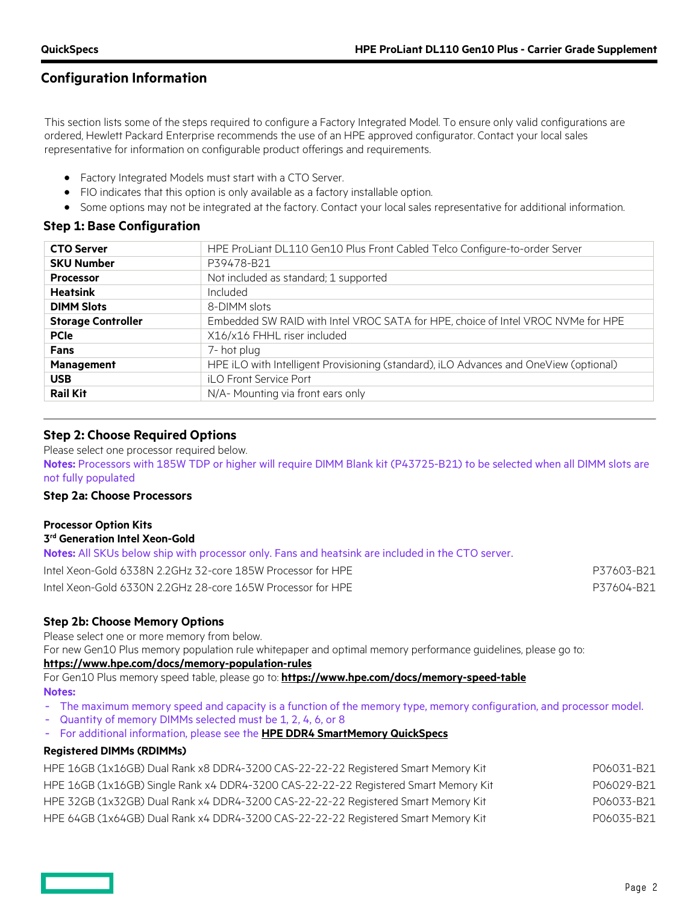## **Configuration Information**

This section lists some of the steps required to configure a Factory Integrated Model. To ensure only valid configurations are ordered, Hewlett Packard Enterprise recommends the use of an HPE approved configurator. Contact your local sales representative for information on configurable product offerings and requirements.

- Factory Integrated Models must start with a CTO Server.
- FIO indicates that this option is only available as a factory installable option.
- Some options may not be integrated at the factory. Contact your local sales representative for additional information.

### **Step 1: Base Configuration**

| <b>CTO Server</b>         | HPE ProLiant DL110 Gen10 Plus Front Cabled Telco Configure-to-order Server            |  |  |
|---------------------------|---------------------------------------------------------------------------------------|--|--|
| <b>SKU Number</b>         | P39478-B21                                                                            |  |  |
| <b>Processor</b>          | Not included as standard; 1 supported                                                 |  |  |
| <b>Heatsink</b>           | Included                                                                              |  |  |
| <b>DIMM Slots</b>         | 8-DIMM slots                                                                          |  |  |
| <b>Storage Controller</b> | Embedded SW RAID with Intel VROC SATA for HPE, choice of Intel VROC NVMe for HPE      |  |  |
| <b>PCIe</b>               | X16/x16 FHHL riser included                                                           |  |  |
| <b>Fans</b>               | 7- hot plug                                                                           |  |  |
| <b>Management</b>         | HPE iLO with Intelligent Provisioning (standard), iLO Advances and OneView (optional) |  |  |
| <b>USB</b>                | iLO Front Service Port                                                                |  |  |
| <b>Rail Kit</b>           | N/A- Mounting via front ears only                                                     |  |  |
|                           |                                                                                       |  |  |

### **Step 2: Choose Required Options**

Please select one processor required below. **Notes:** Processors with 185W TDP or higher will require DIMM Blank kit (P43725-B21) to be selected when all DIMM slots are not fully populated

### **Step 2a: Choose Processors**

#### **Processor Option Kits 3rd Generation Intel Xeon-Gold**

| <b>Notes:</b> All SKUs below ship with processor only. Fans and heatsink are included in the CTO server. |            |
|----------------------------------------------------------------------------------------------------------|------------|
| Intel Xeon-Gold 6338N 2.2GHz 32-core 185W Processor for HPE                                              | P37603-B21 |
| Intel Xeon-Gold 6330N 2.2GHz 28-core 165W Processor for HPE                                              | P37604-B21 |

### **Step 2b: Choose Memory Options**

Please select one or more memory from below.

For new Gen10 Plus memory population rule whitepaper and optimal memory performance guidelines, please go to:

#### **<https://www.hpe.com/docs/memory-population-rules>**

For Gen10 Plus memory speed table, please go to: **<https://www.hpe.com/docs/memory-speed-table>**

#### **Notes:**

- The maximum memory speed and capacity is a function of the memory type, memory configuration, and processor model.
- Quantity of memory DIMMs selected must be 1, 2, 4, 6, or 8
- For additional information, please see the **[HPE DDR4 SmartMemory QuickSpecs](https://www.hpe.com/h20195/v2/gethtml.aspx?docname=c04355083)**

#### **Registered DIMMs (RDIMMs)**

| HPE 16GB (1x16GB) Dual Rank x8 DDR4-3200 CAS-22-22-22 Registered Smart Memory Kit   | P06031-B21 |
|-------------------------------------------------------------------------------------|------------|
| HPE 16GB (1x16GB) Single Rank x4 DDR4-3200 CAS-22-22-22 Registered Smart Memory Kit | P06029-B21 |
| HPE 32GB (1x32GB) Dual Rank x4 DDR4-3200 CAS-22-22-22 Registered Smart Memory Kit   | P06033-B21 |
| HPE 64GB (1x64GB) Dual Rank x4 DDR4-3200 CAS-22-22-22 Registered Smart Memory Kit   | P06035-B21 |

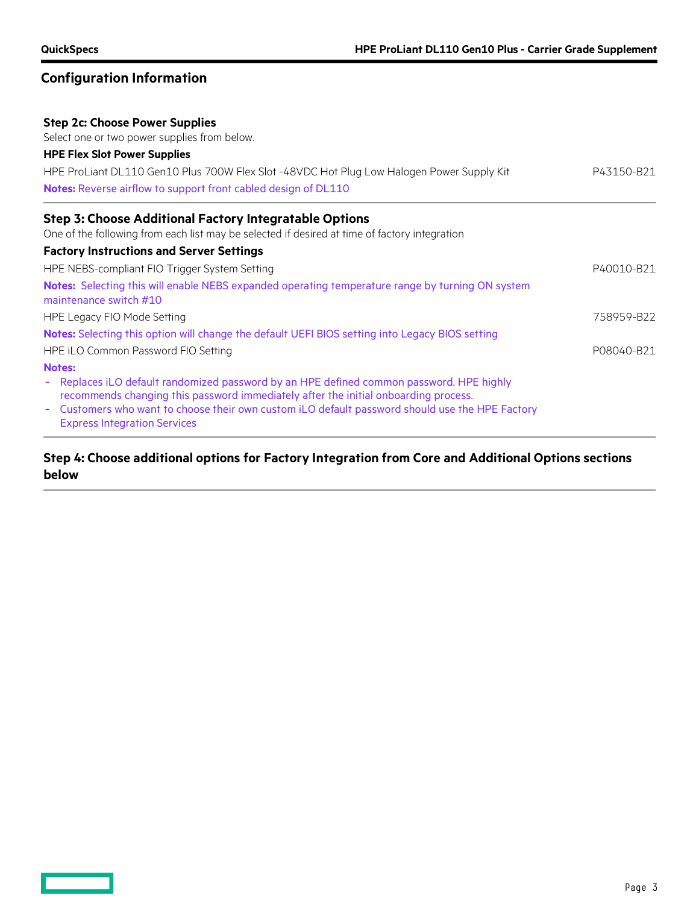### **Configuration Information**

### **Step 2c: Choose Power Supplies**

Select one or two power supplies from below.

# **HPE Flex Slot Power Supplies** HPE ProLiant DL110 Gen10 Plus 700W Flex Slot -48VDC Hot Plug Low Halogen Power Supply Kit P43150-B21 **Notes:** Reverse airflow to support front cabled design of DL110 **Step 3: Choose Additional Factory Integratable Options** One of the following from each list may be selected if desired at time of factory integration

### **Factory Instructions and Server Settings** HPE NEBS-compliant FIO Trigger System Setting **PADDISHER 1999** P40010-B21 **Notes:** Selecting this will enable NEBS expanded operating temperature range by turning ON system maintenance switch #10 HPE Legacy FIO Mode Setting 758959-B22 **Notes:** Selecting this option will change the default UEFI BIOS setting into Legacy BIOS setting HPE iLO Common Password FIO Setting **PO8040-B21 PO8040-B21 Notes:**  Replaces iLO default randomized password by an HPE defined common password. HPE highly recommends changing this password immediately after the initial onboarding process. Customers who want to choose their own custom iLO default password should use the HPE Factory Express Integration Services

### **Step 4: Choose additional options for Factory Integration from Core and Additional Options sections below**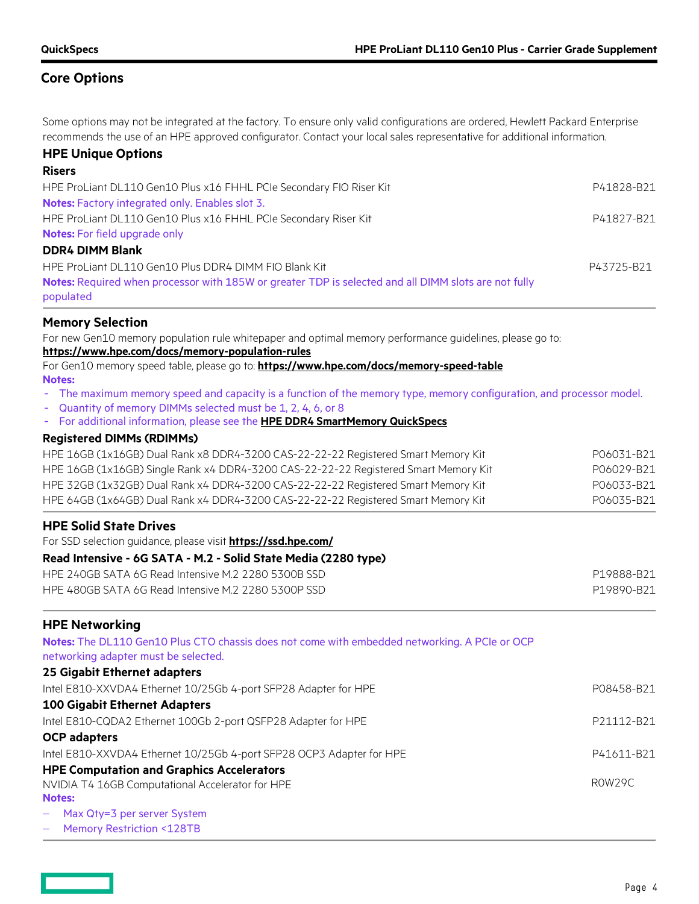## **Core Options**

Some options may not be integrated at the factory. To ensure only valid configurations are ordered, Hewlett Packard Enterprise recommends the use of an HPE approved configurator. Contact your local sales representative for additional information.

### **HPE Unique Options**

| <b>Risers</b>                                                                                                     |            |
|-------------------------------------------------------------------------------------------------------------------|------------|
| HPE ProLiant DL110 Gen10 Plus x16 FHHL PCIe Secondary FIO Riser Kit                                               | P41828-B21 |
| Notes: Factory integrated only. Enables slot 3.                                                                   |            |
| HPE ProLiant DL110 Gen10 Plus x16 FHHL PCIe Secondary Riser Kit                                                   | P41827-B21 |
| <b>Notes:</b> For field upgrade only                                                                              |            |
| <b>DDR4 DIMM Blank</b>                                                                                            |            |
| HPE ProLiant DL110 Gen10 Plus DDR4 DIMM FIO Blank Kit                                                             | P43725-B21 |
| Notes: Required when processor with 185W or greater TDP is selected and all DIMM slots are not fully<br>populated |            |
|                                                                                                                   |            |

### **Memory Selection**

For new Gen10 memory population rule whitepaper and optimal memory performance guidelines, please go to: **<https://www.hpe.com/docs/memory-population-rules>** For Gen10 memory speed table, please go to: **<https://www.hpe.com/docs/memory-speed-table>**

- **Notes:**
- The maximum memory speed and capacity is a function of the memory type, memory configuration, and processor model.
- Quantity of memory DIMMs selected must be 1, 2, 4, 6, or 8
- For additional information, please see the **[HPE DDR4 SmartMemory QuickSpecs](https://www.hpe.com/h20195/v2/gethtml.aspx?docname=c04355083)**

### **Registered DIMMs (RDIMMs)**

| HPE 16GB (1x16GB) Dual Rank x8 DDR4-3200 CAS-22-22-22 Registered Smart Memory Kit   | P06031-B21 |
|-------------------------------------------------------------------------------------|------------|
| HPE 16GB (1x16GB) Single Rank x4 DDR4-3200 CAS-22-22-22 Registered Smart Memory Kit | P06029-B21 |
| HPE 32GB (1x32GB) Dual Rank x4 DDR4-3200 CAS-22-22-22 Registered Smart Memory Kit   | P06033-B21 |
| HPE 64GB (1x64GB) Dual Rank x4 DDR4-3200 CAS-22-22-22 Registered Smart Memory Kit   | P06035-B21 |

#### **HPE Solid State Drives**

For SSD selection guidance, please visit **<https://ssd.hpe.com/>**

#### **Read Intensive - 6G SATA - M.2 - Solid State Media (2280 type)**

| HPE 240GB SATA 6G Read Intensive M.2 2280 5300B SSD | P19888-B21 |
|-----------------------------------------------------|------------|
| HPE 480GB SATA 6G Read Intensive M.2 2280 5300P SSD | P19890-B21 |

### **HPE Networking**

| Notes: The DL110 Gen10 Plus CTO chassis does not come with embedded networking. A PCIe or OCP<br>networking adapter must be selected. |            |
|---------------------------------------------------------------------------------------------------------------------------------------|------------|
| 25 Gigabit Ethernet adapters                                                                                                          |            |
| Intel E810-XXVDA4 Ethernet 10/25Gb 4-port SFP28 Adapter for HPE                                                                       | P08458-B21 |
| <b>100 Gigabit Ethernet Adapters</b>                                                                                                  |            |
| Intel E810-CQDA2 Ethernet 100Gb 2-port QSFP28 Adapter for HPE                                                                         | P21112-B21 |
| <b>OCP</b> adapters                                                                                                                   |            |
| Intel E810-XXVDA4 Ethernet 10/25Gb 4-port SFP28 OCP3 Adapter for HPE                                                                  | P41611-B21 |
| <b>HPE Computation and Graphics Accelerators</b>                                                                                      |            |
| NVIDIA T4 16GB Computational Accelerator for HPE                                                                                      | ROW29C     |
| <b>Notes:</b>                                                                                                                         |            |
| - Max Qty=3 per server System                                                                                                         |            |

− Memory Restriction <128TB

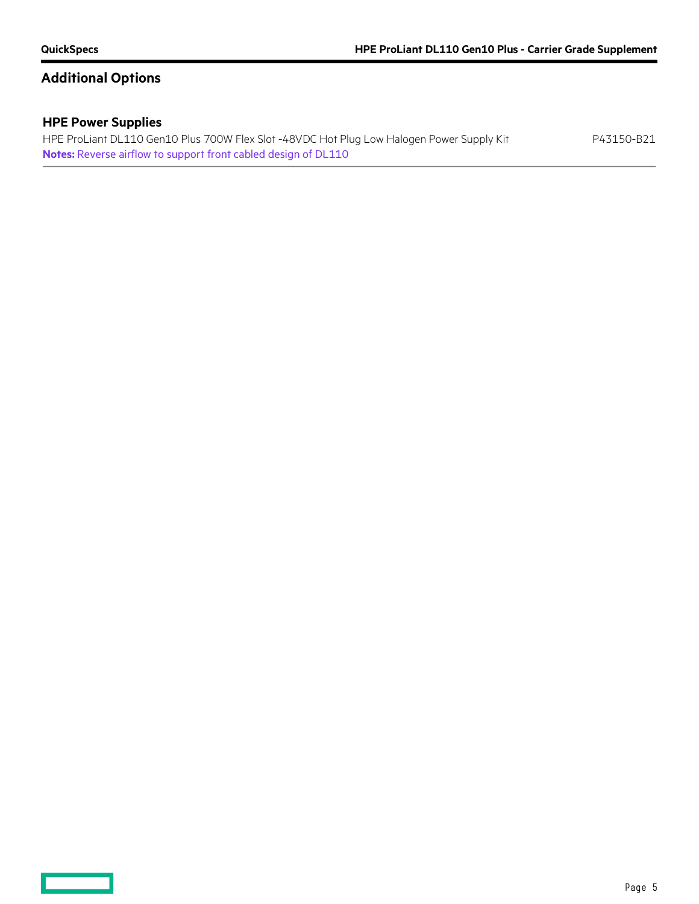**Contract Contract** 

# **Additional Options**

### **HPE Power Supplies**

HPE ProLiant DL110 Gen10 Plus 700W Flex Slot -48VDC Hot Plug Low Halogen Power Supply Kit P43150-B21 **Notes:** Reverse airflow to support front cabled design of DL110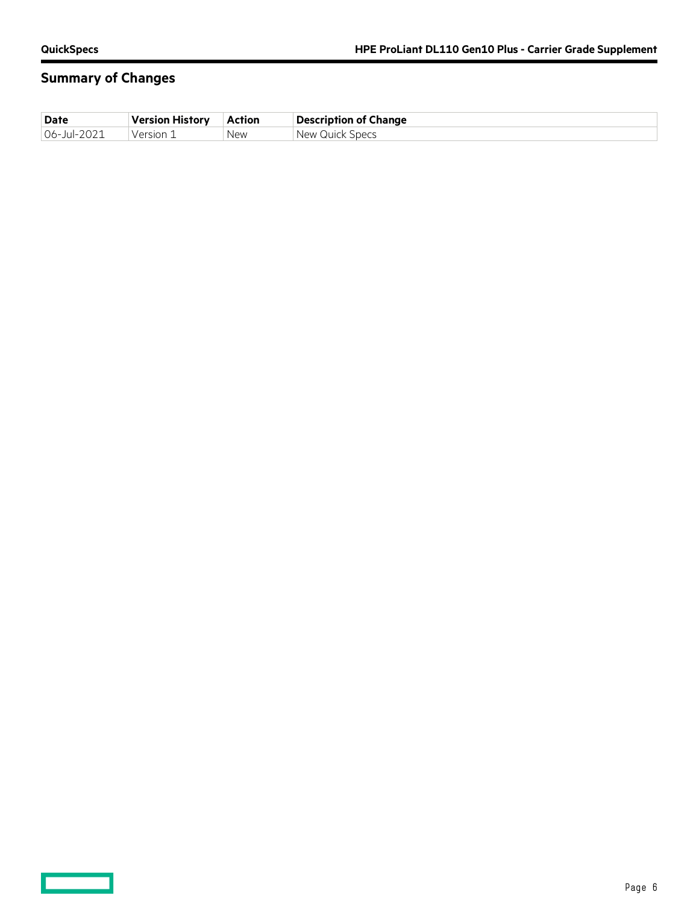$\overline{\phantom{0}}$ 

# **Summary of Changes**

| <b>Date</b> | Version History | Action | <b>Description of Change</b> |
|-------------|-----------------|--------|------------------------------|
| 06-Jul-2021 | . Version 1     | New    | New Quick Specs              |